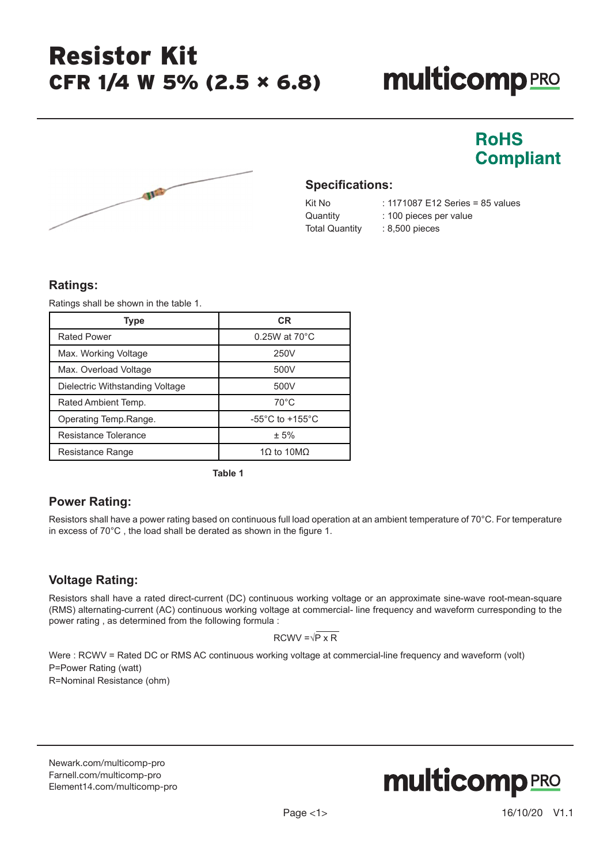# **multicomp**PRO

**RoHS** 

**Compliant** 



#### **Specifications:**

Total Quantity : 8,500 pieces

Kit No : 1171087 E12 Series = 85 values Quantity : 100 pieces per value

#### **Ratings:**

Ratings shall be shown in the table 1.

| <b>Type</b>                     | <b>CR</b>                           |  |  |
|---------------------------------|-------------------------------------|--|--|
| <b>Rated Power</b>              | $0.25W$ at $70^{\circ}$ C           |  |  |
| Max. Working Voltage            | 250V                                |  |  |
| Max. Overload Voltage           | 500V                                |  |  |
| Dielectric Withstanding Voltage | 500V                                |  |  |
| Rated Ambient Temp.             | $70^{\circ}$ C                      |  |  |
| Operating Temp.Range.           | $-55^{\circ}$ C to $+155^{\circ}$ C |  |  |
| Resistance Tolerance            | ± 5%                                |  |  |
| Resistance Range                | 10 to 10M $\Omega$                  |  |  |

**Table 1**

#### **Power Rating:**

Resistors shall have a power rating based on continuous full load operation at an ambient temperature of 70°C. For temperature in excess of 70°C , the load shall be derated as shown in the figure 1.

#### **Voltage Rating:**

Resistors shall have a rated direct-current (DC) continuous working voltage or an approximate sine-wave root-mean-square (RMS) alternating-current (AC) continuous working voltage at commercial- line frequency and waveform curresponding to the power rating , as determined from the following formula :

$$
RCWV = \sqrt{P \times R}
$$

Were : RCWV = Rated DC or RMS AC continuous working voltage at commercial-line frequency and waveform (volt) P=Power Rating (watt) R=Nominal Resistance (ohm)

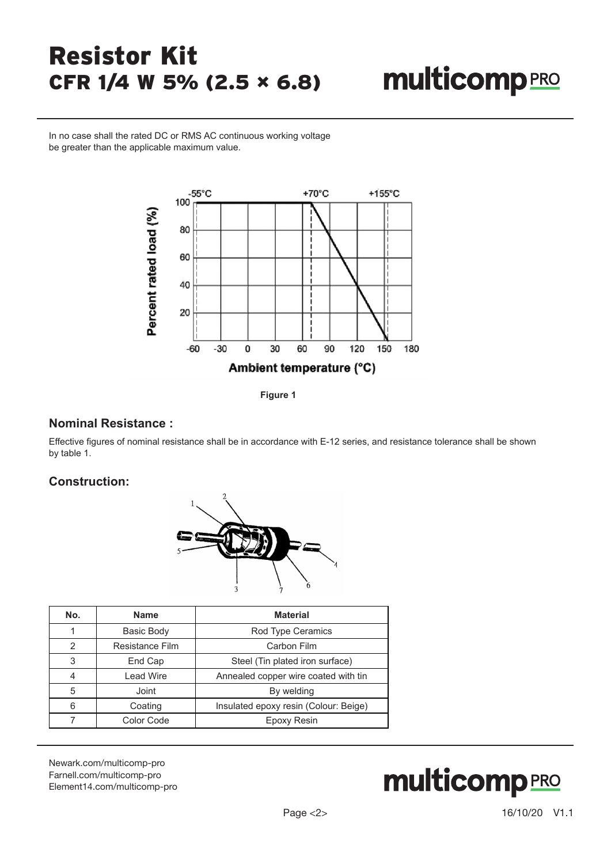# **multicomp**PRO

In no case shall the rated DC or RMS AC continuous working voltage be greater than the applicable maximum value.



**Figure 1**

#### **Nominal Resistance :**

Effective figures of nominal resistance shall be in accordance with E-12 series, and resistance tolerance shall be shown by table 1.

#### **Construction:**



| No.            | <b>Name</b>      | <b>Material</b>                       |
|----------------|------------------|---------------------------------------|
|                | Basic Body       | Rod Type Ceramics                     |
| $\mathfrak{p}$ | Resistance Film  | Carbon Film                           |
| 3              | End Cap          | Steel (Tin plated iron surface)       |
| 4              | <b>Lead Wire</b> | Annealed copper wire coated with tin  |
| 5              | Joint            | By welding                            |
| 6              | Coating          | Insulated epoxy resin (Colour: Beige) |
|                | Color Code       | Epoxy Resin                           |

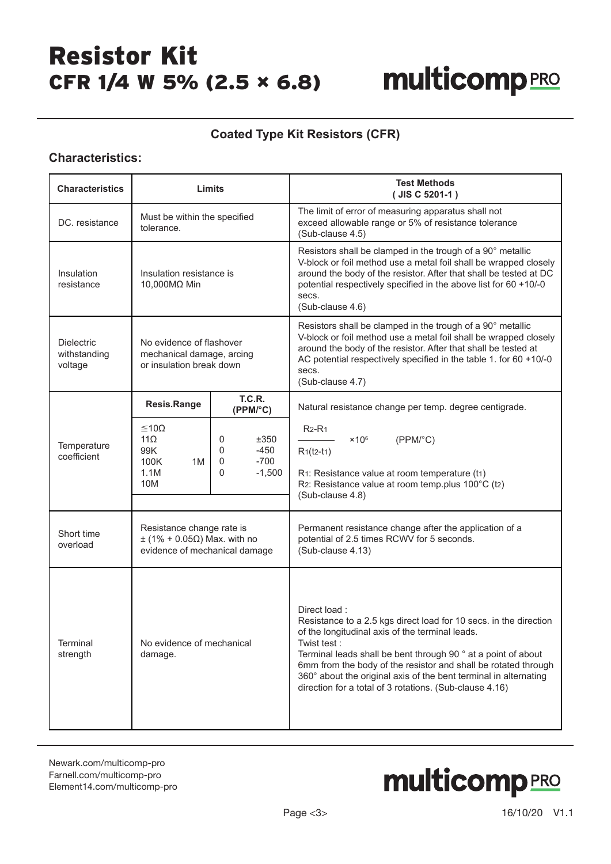# **multicomp**PRO

#### **Coated Type Kit Resistors (CFR)**

#### **Characteristics:**

| <b>Characteristics</b>                       | Limits                                                                                                 |                                                                 | <b>Test Methods</b><br>(JIS C 5201-1)                                                                                                                                                                                                                                                                                                                                                                                  |
|----------------------------------------------|--------------------------------------------------------------------------------------------------------|-----------------------------------------------------------------|------------------------------------------------------------------------------------------------------------------------------------------------------------------------------------------------------------------------------------------------------------------------------------------------------------------------------------------------------------------------------------------------------------------------|
| DC. resistance                               | Must be within the specified<br>tolerance.                                                             |                                                                 | The limit of error of measuring apparatus shall not<br>exceed allowable range or 5% of resistance tolerance<br>(Sub-clause 4.5)                                                                                                                                                                                                                                                                                        |
| Insulation<br>resistance                     | Insulation resistance is<br>10,000MΩ Min                                                               |                                                                 | Resistors shall be clamped in the trough of a 90° metallic<br>V-block or foil method use a metal foil shall be wrapped closely<br>around the body of the resistor. After that shall be tested at DC<br>potential respectively specified in the above list for 60 +10/-0<br>secs.<br>(Sub-clause 4.6)                                                                                                                   |
| <b>Dielectric</b><br>withstanding<br>voltage | No evidence of flashover<br>mechanical damage, arcing<br>or insulation break down                      |                                                                 | Resistors shall be clamped in the trough of a 90° metallic<br>V-block or foil method use a metal foil shall be wrapped closely<br>around the body of the resistor. After that shall be tested at<br>AC potential respectively specified in the table 1. for 60 +10/-0<br>secs.<br>(Sub-clause 4.7)                                                                                                                     |
|                                              | Resis.Range                                                                                            | <b>T.C.R.</b><br>(PPM/°C)                                       | Natural resistance change per temp. degree centigrade.                                                                                                                                                                                                                                                                                                                                                                 |
| Temperature<br>coefficient                   | ≤10Ω<br>$11\Omega$<br>99K<br>100K<br>1M<br>1.1M<br>10M                                                 | ±350<br>0<br>$\Omega$<br>$-450$<br>$-700$<br>0<br>$-1,500$<br>0 | $R2-R1$<br>$\times$ 10 <sup>6</sup><br>(PPM <sup>o</sup> C)<br>$R1(t2-t1)$<br>R1: Resistance value at room temperature (t1)<br>R2: Resistance value at room temp.plus 100°C (t2)<br>(Sub-clause 4.8)                                                                                                                                                                                                                   |
| Short time<br>overload                       | Resistance change rate is<br>$\pm$ (1% + 0.05 $\Omega$ ) Max. with no<br>evidence of mechanical damage |                                                                 | Permanent resistance change after the application of a<br>potential of 2.5 times RCWV for 5 seconds.<br>(Sub-clause 4.13)                                                                                                                                                                                                                                                                                              |
| Terminal<br>strength                         | No evidence of mechanical<br>damage.                                                                   |                                                                 | Direct load:<br>Resistance to a 2.5 kgs direct load for 10 secs. in the direction<br>of the longitudinal axis of the terminal leads.<br>Twist test :<br>Terminal leads shall be bent through 90 ° at a point of about<br>6mm from the body of the resistor and shall be rotated through<br>360° about the original axis of the bent terminal in alternating<br>direction for a total of 3 rotations. (Sub-clause 4.16) |

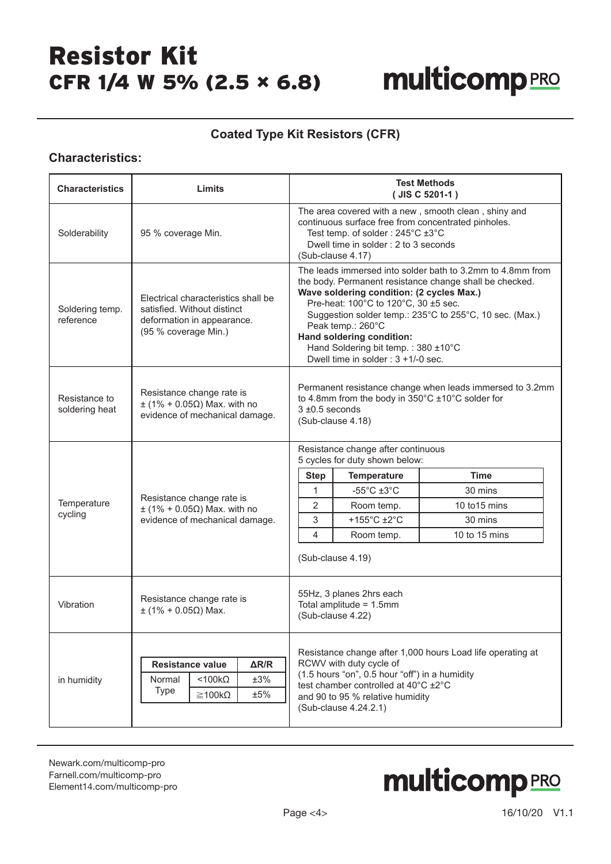# **multicomp**PRO

#### **Coated Type Kit Resistors (CFR)**

#### **Characteristics:**

| <b>Characteristics</b>          | Limits                                                                                                                   | <b>Test Methods</b><br>$(JIS C 5201-1)$                                                                                                                                                                                                                                                                                                                                                                  |  |  |
|---------------------------------|--------------------------------------------------------------------------------------------------------------------------|----------------------------------------------------------------------------------------------------------------------------------------------------------------------------------------------------------------------------------------------------------------------------------------------------------------------------------------------------------------------------------------------------------|--|--|
| Solderability                   | 95 % coverage Min.                                                                                                       | The area covered with a new, smooth clean, shiny and<br>continuous surface free from concentrated pinholes.<br>Test temp. of solder: 245°C ±3°C<br>Dwell time in solder: 2 to 3 seconds<br>(Sub-clause 4.17)                                                                                                                                                                                             |  |  |
| Soldering temp.<br>reference    | Electrical characteristics shall be<br>satisfied. Without distinct<br>deformation in appearance.<br>(95 % coverage Min.) | The leads immersed into solder bath to 3.2mm to 4.8mm from<br>the body. Permanent resistance change shall be checked.<br>Wave soldering condition: (2 cycles Max.)<br>Pre-heat: 100°C to 120°C, 30 ±5 sec.<br>Suggestion solder temp.: 235°C to 255°C, 10 sec. (Max.)<br>Peak temp.: 260°C<br>Hand soldering condition:<br>Hand Soldering bit temp.: 380 ±10°C<br>Dwell time in solder : $3 + 1/-0$ sec. |  |  |
| Resistance to<br>soldering heat | Resistance change rate is<br>$\pm$ (1% + 0.05 $\Omega$ ) Max. with no<br>evidence of mechanical damage.                  | Permanent resistance change when leads immersed to 3.2mm<br>to 4.8mm from the body in 350°C ±10°C solder for<br>$3 \pm 0.5$ seconds<br>(Sub-clause 4.18)                                                                                                                                                                                                                                                 |  |  |
|                                 |                                                                                                                          | Resistance change after continuous<br>5 cycles for duty shown below:                                                                                                                                                                                                                                                                                                                                     |  |  |
|                                 |                                                                                                                          | <b>Time</b><br><b>Step</b><br><b>Temperature</b>                                                                                                                                                                                                                                                                                                                                                         |  |  |
|                                 | Resistance change rate is                                                                                                | $-55^{\circ}$ C $\pm 3^{\circ}$ C<br>$\mathbf{1}$<br>30 mins                                                                                                                                                                                                                                                                                                                                             |  |  |
| Temperature<br>cycling          | $\pm$ (1% + 0.05 $\Omega$ ) Max. with no                                                                                 | $\overline{2}$<br>10 to 15 mins<br>Room temp.                                                                                                                                                                                                                                                                                                                                                            |  |  |
|                                 | evidence of mechanical damage.                                                                                           | +155°C ±2°C<br>3<br>30 mins                                                                                                                                                                                                                                                                                                                                                                              |  |  |
|                                 |                                                                                                                          | 4<br>10 to 15 mins<br>Room temp.                                                                                                                                                                                                                                                                                                                                                                         |  |  |
|                                 |                                                                                                                          | (Sub-clause 4.19)                                                                                                                                                                                                                                                                                                                                                                                        |  |  |
| Vibration                       | Resistance change rate is<br>$±$ (1% + 0.05Ω) Max.                                                                       | 55Hz, 3 planes 2hrs each<br>Total amplitude = 1.5mm<br>(Sub-clause 4.22)                                                                                                                                                                                                                                                                                                                                 |  |  |
| in humidity                     | Resistance value<br>$\Delta R/R$<br>$<$ 100 $k\Omega$<br>±3%<br>Normal<br>Type<br>±5%<br>$\geq$ 100k $\Omega$            | Resistance change after 1,000 hours Load life operating at<br>RCWV with duty cycle of<br>(1.5 hours "on", 0.5 hour "off") in a humidity<br>test chamber controlled at 40°C ±2°C<br>and 90 to 95 % relative humidity<br>(Sub-clause 4.24.2.1)                                                                                                                                                             |  |  |

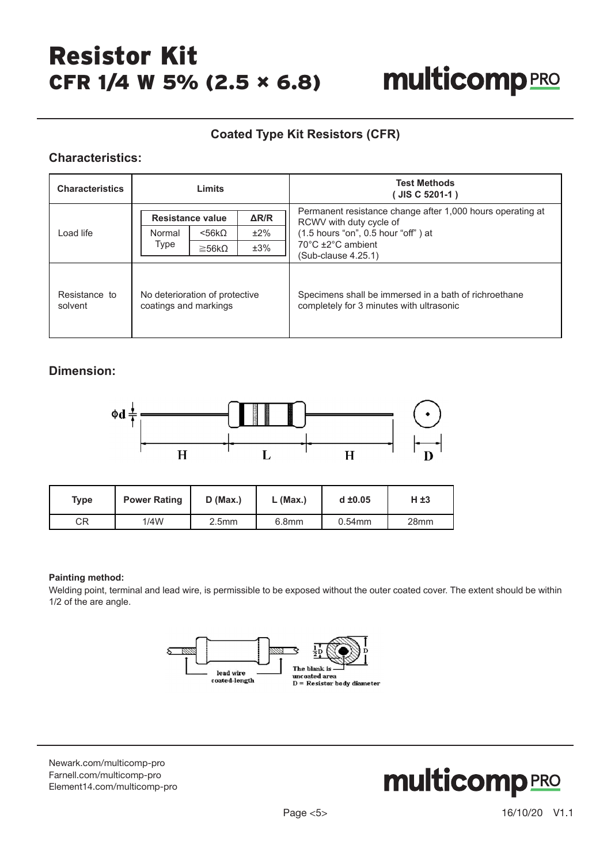## **multicomp**PRO

#### **Coated Type Kit Resistors (CFR)**

#### **Characteristics:**

| <b>Characteristics</b>   | Limits                                                  |                     |     | <b>Test Methods</b><br>JIS C 5201-1)                                                              |  |
|--------------------------|---------------------------------------------------------|---------------------|-----|---------------------------------------------------------------------------------------------------|--|
|                          | $\Delta$ R/R<br>Resistance value                        |                     |     | Permanent resistance change after 1,000 hours operating at<br>RCWV with duty cycle of             |  |
| Load life                | Normal                                                  | $<$ 56k $\Omega$    | ±2% | (1.5 hours "on", 0.5 hour "off") at                                                               |  |
|                          | Type                                                    | $\geq$ 56k $\Omega$ | ±3% | 70°C ±2°C ambient<br>(Sub-clause 4.25.1)                                                          |  |
| Resistance to<br>solvent | No deterioration of protective<br>coatings and markings |                     |     | Specimens shall be immersed in a bath of richroethane<br>completely for 3 minutes with ultrasonic |  |

#### **Dimension:**



| Type | <b>Power Rating</b> | $D$ (Max.)        | ∟ (Max.)          | $d \pm 0.05$ | H ±3             |
|------|---------------------|-------------------|-------------------|--------------|------------------|
| CR   | 1/4W                | 2.5 <sub>mm</sub> | 6.8 <sub>mm</sub> | $0.54$ mm    | 28 <sub>mm</sub> |

#### **Painting method:**

Welding point, terminal and lead wire, is permissible to be exposed without the outer coated cover. The extent should be within 1/2 of the are angle.



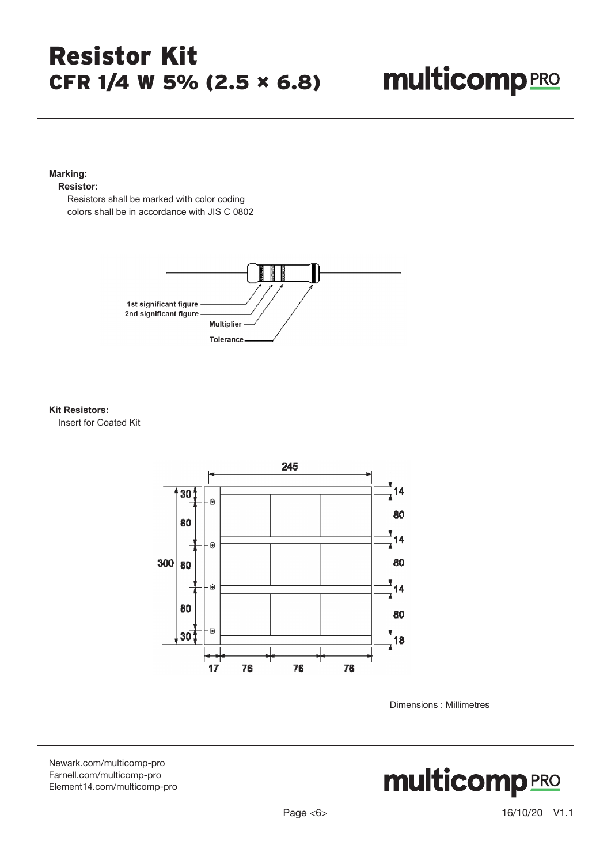# **multicomp**PRO

#### **Marking:**

#### **Resistor:**

 Resistors shall be marked with color coding colors shall be in accordance with JIS C 0802



#### **Kit Resistors:**

Insert for Coated Kit



Dimensions : Millimetres

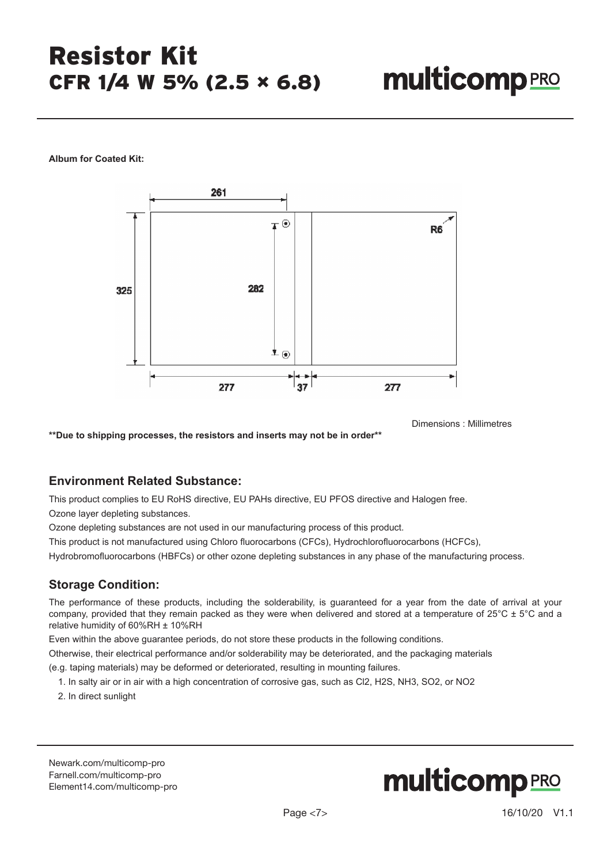**Album for Coated Kit:**



Dimensions : Millimetres

**\*\*Due to shipping processes, the resistors and inserts may not be in order\*\*** 

#### **Environment Related Substance:**

This product complies to EU RoHS directive, EU PAHs directive, EU PFOS directive and Halogen free.

Ozone layer depleting substances.

Ozone depleting substances are not used in our manufacturing process of this product.

This product is not manufactured using Chloro fluorocarbons (CFCs), Hydrochlorofluorocarbons (HCFCs),

Hydrobromofluorocarbons (HBFCs) or other ozone depleting substances in any phase of the manufacturing process.

#### **Storage Condition:**

The performance of these products, including the solderability, is guaranteed for a year from the date of arrival at your company, provided that they remain packed as they were when delivered and stored at a temperature of  $25^{\circ}$ C  $\pm$  5°C and a relative humidity of 60%RH ± 10%RH

Even within the above guarantee periods, do not store these products in the following conditions.

Otherwise, their electrical performance and/or solderability may be deteriorated, and the packaging materials

(e.g. taping materials) may be deformed or deteriorated, resulting in mounting failures.

1. In salty air or in air with a high concentration of corrosive gas, such as Cl2, H2S, NH3, SO2, or NO2

2. In direct sunlight

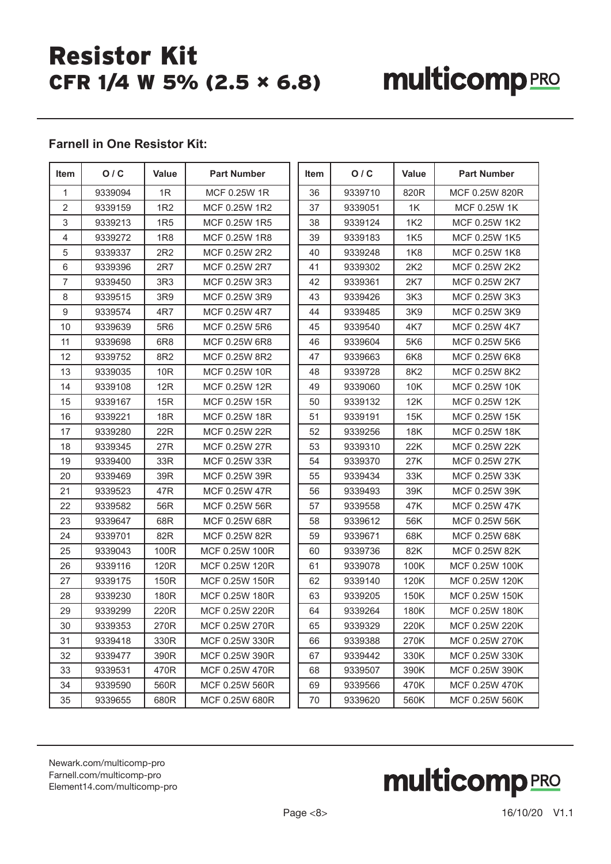# **multicomp**PRO

#### **Farnell in One Resistor Kit:**

| Item           | O/C     | Value           | <b>Part Number</b> | Item | O/C     | Value           | <b>Part Number</b> |
|----------------|---------|-----------------|--------------------|------|---------|-----------------|--------------------|
| $\mathbf{1}$   | 9339094 | 1R              | MCF 0.25W 1R       | 36   | 9339710 | 820R            | MCF 0.25W 820R     |
| $\overline{2}$ | 9339159 | 1R <sub>2</sub> | MCF 0.25W 1R2      | 37   | 9339051 | 1K              | MCF 0.25W 1K       |
| 3              | 9339213 | 1R <sub>5</sub> | MCF 0.25W 1R5      | 38   | 9339124 | 1K <sub>2</sub> | MCF 0.25W 1K2      |
| $\overline{4}$ | 9339272 | 1R8             | MCF 0.25W 1R8      | 39   | 9339183 | 1K <sub>5</sub> | MCF 0.25W 1K5      |
| 5              | 9339337 | 2R2             | MCF 0.25W 2R2      | 40   | 9339248 | <b>1K8</b>      | MCF 0.25W 1K8      |
| 6              | 9339396 | 2R7             | MCF 0.25W 2R7      | 41   | 9339302 | 2K2             | MCF 0.25W 2K2      |
| $\overline{7}$ | 9339450 | 3R3             | MCF 0.25W 3R3      | 42   | 9339361 | 2K7             | MCF 0.25W 2K7      |
| 8              | 9339515 | 3R9             | MCF 0.25W 3R9      | 43   | 9339426 | 3K <sub>3</sub> | MCF 0.25W 3K3      |
| 9              | 9339574 | 4R7             | MCF 0.25W 4R7      | 44   | 9339485 | 3K9             | MCF 0.25W 3K9      |
| 10             | 9339639 | 5R <sub>6</sub> | MCF 0.25W 5R6      | 45   | 9339540 | 4K7             | MCF 0.25W 4K7      |
| 11             | 9339698 | 6R <sub>8</sub> | MCF 0.25W 6R8      | 46   | 9339604 | 5K6             | MCF 0.25W 5K6      |
| 12             | 9339752 | 8R2             | MCF 0.25W 8R2      | 47   | 9339663 | 6K8             | MCF 0.25W 6K8      |
| 13             | 9339035 | 10R             | MCF 0.25W 10R      | 48   | 9339728 | 8K2             | MCF 0.25W 8K2      |
| 14             | 9339108 | 12R             | MCF 0.25W 12R      | 49   | 9339060 | 10K             | MCF 0.25W 10K      |
| 15             | 9339167 | 15R             | MCF 0.25W 15R      | 50   | 9339132 | 12K             | MCF 0.25W 12K      |
| 16             | 9339221 | 18R             | MCF 0.25W 18R      | 51   | 9339191 | 15K             | MCF 0.25W 15K      |
| 17             | 9339280 | 22R             | MCF 0.25W 22R      | 52   | 9339256 | 18K             | MCF 0.25W 18K      |
| 18             | 9339345 | 27R             | MCF 0.25W 27R      | 53   | 9339310 | 22K             | MCF 0.25W 22K      |
| 19             | 9339400 | 33R             | MCF 0.25W 33R      | 54   | 9339370 | 27K             | MCF 0.25W 27K      |
| 20             | 9339469 | 39R             | MCF 0.25W 39R      | 55   | 9339434 | 33K             | MCF 0.25W 33K      |
| 21             | 9339523 | 47R             | MCF 0.25W 47R      | 56   | 9339493 | 39K             | MCF 0.25W 39K      |
| 22             | 9339582 | 56R             | MCF 0.25W 56R      | 57   | 9339558 | 47K             | MCF 0.25W 47K      |
| 23             | 9339647 | 68R             | MCF 0.25W 68R      | 58   | 9339612 | 56K             | MCF 0.25W 56K      |
| 24             | 9339701 | 82R             | MCF 0.25W 82R      | 59   | 9339671 | 68K             | MCF 0.25W 68K      |
| 25             | 9339043 | 100R            | MCF 0.25W 100R     | 60   | 9339736 | 82K             | MCF 0.25W 82K      |
| 26             | 9339116 | 120R            | MCF 0.25W 120R     | 61   | 9339078 | 100K            | MCF 0.25W 100K     |
| 27             | 9339175 | 150R            | MCF 0.25W 150R     | 62   | 9339140 | 120K            | MCF 0.25W 120K     |
| 28             | 9339230 | 180R            | MCF 0.25W 180R     | 63   | 9339205 | 150K            | MCF 0.25W 150K     |
| 29             | 9339299 | 220R            | MCF 0.25W 220R     | 64   | 9339264 | 180K            | MCF 0.25W 180K     |
| 30             | 9339353 | 270R            | MCF 0.25W 270R     | 65   | 9339329 | 220K            | MCF 0.25W 220K     |
| 31             | 9339418 | 330R            | MCF 0.25W 330R     | 66   | 9339388 | 270K            | MCF 0.25W 270K     |
| 32             | 9339477 | 390R            | MCF 0.25W 390R     | 67   | 9339442 | 330K            | MCF 0.25W 330K     |
| 33             | 9339531 | 470R            | MCF 0.25W 470R     | 68   | 9339507 | 390K            | MCF 0.25W 390K     |
| 34             | 9339590 | 560R            | MCF 0.25W 560R     | 69   | 9339566 | 470K            | MCF 0.25W 470K     |
| 35             | 9339655 | 680R            | MCF 0.25W 680R     | 70   | 9339620 | 560K            | MCF 0.25W 560K     |